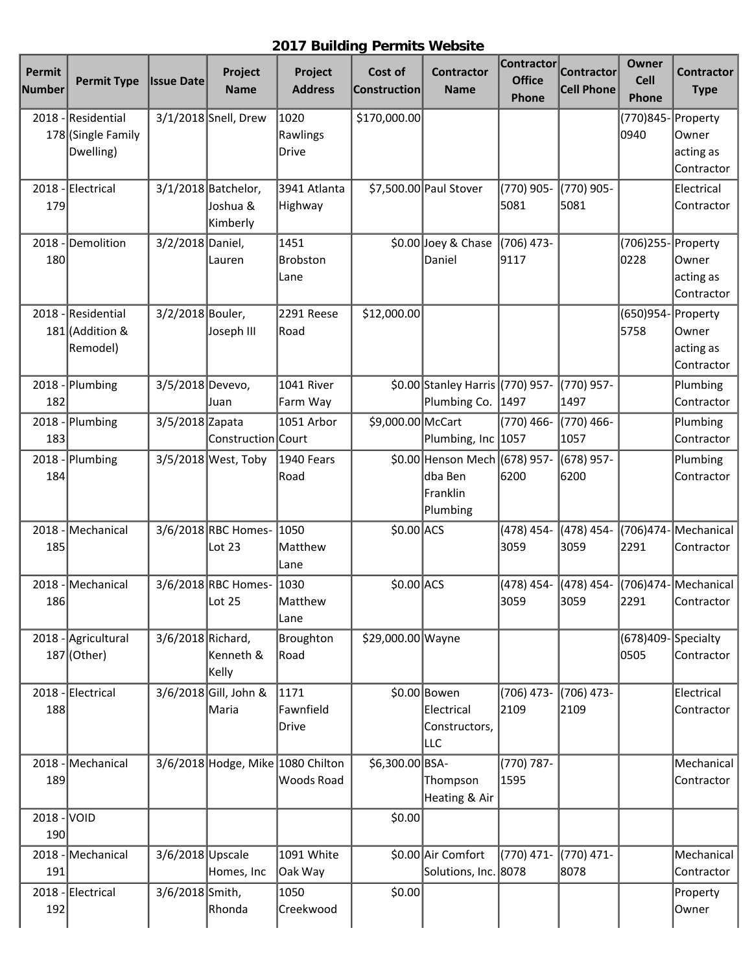## **2017 Building Permits Website**

| Permit<br><b>Number</b> | <b>Permit Type</b>                                | <b>Issue Date</b> | Project<br><b>Name</b>                      | Project<br><b>Address</b>         | Cost of<br>Construction | <b>Contractor</b><br><b>Name</b>                                  | <b>Contractor</b><br><b>Office</b><br>Phone | <b>Contractor</b><br><b>Cell Phone</b> | Owner<br><b>Cell</b><br>Phone | <b>Contractor</b><br><b>Type</b>             |
|-------------------------|---------------------------------------------------|-------------------|---------------------------------------------|-----------------------------------|-------------------------|-------------------------------------------------------------------|---------------------------------------------|----------------------------------------|-------------------------------|----------------------------------------------|
| 2018                    | Residential<br>178 (Single Family<br>Dwelling)    |                   | 3/1/2018 Snell, Drew                        | 1020<br>Rawlings<br><b>Drive</b>  | \$170,000.00            |                                                                   |                                             |                                        | (770)845-Property<br>0940     | Owner<br>acting as<br>Contractor             |
| 2018<br>179             | Electrical                                        |                   | 3/1/2018 Batchelor,<br>Joshua &<br>Kimberly | 3941 Atlanta<br>Highway           |                         | \$7,500.00 Paul Stover                                            | (770) 905-<br>5081                          | (770) 905-<br>5081                     |                               | Electrical<br>Contractor                     |
| 2018<br>180             | Demolition                                        | 3/2/2018 Daniel,  | Lauren                                      | 1451<br><b>Brobston</b><br>Lane   |                         | \$0.00 Joey & Chase<br>Daniel                                     | (706) 473-<br>9117                          |                                        | (706)255- Property<br>0228    | Owner<br>acting as<br>Contractor             |
|                         | 2018 - Residential<br>181 (Addition &<br>Remodel) | 3/2/2018 Bouler,  | Joseph III                                  | 2291 Reese<br>Road                | \$12,000.00             |                                                                   |                                             |                                        | (650)954-<br>5758             | Property<br>Owner<br>acting as<br>Contractor |
| 2018<br>182             | Plumbing                                          | 3/5/2018 Devevo,  | Juan                                        | 1041 River<br>Farm Way            |                         | \$0.00 Stanley Harris (770) 957-<br>Plumbing Co.                  | 1497                                        | (770) 957-<br>1497                     |                               | Plumbing<br>Contractor                       |
| $2018 -$<br>183         | Plumbing                                          | 3/5/2018 Zapata   | Construction Court                          | 1051 Arbor                        | \$9,000.00 McCart       | Plumbing, Inc 1057                                                | (770) 466-                                  | (770) 466-<br>1057                     |                               | Plumbing<br>Contractor                       |
| 2018<br>184             | Plumbing                                          |                   | 3/5/2018 West, Toby                         | 1940 Fears<br>Road                |                         | \$0.00 Henson Mech (678) 957-<br>ldba Ben<br>Franklin<br>Plumbing | 6200                                        | (678) 957-<br>6200                     |                               | Plumbing<br>Contractor                       |
| 2018<br>185             | Mechanical                                        |                   | 3/6/2018 RBC Homes-<br>Lot 23               | 1050<br>Matthew<br>Lane           | $$0.00$ ACS             |                                                                   | (478) 454-<br>3059                          | (478) 454-<br>3059                     | 2291                          | (706)474-Mechanical<br>Contractor            |
| 2018<br>186             | Mechanical                                        |                   | 3/6/2018 RBC Homes-<br> Lot 25              | 1030<br> Matthew<br>Lane          | $$0.00$ ACS             |                                                                   | (478) 454-<br>3059                          | (478) 454-<br>3059                     | 2291                          | (706)474- Mechanical<br>Contractor           |
| $2018 -$                | Agricultural<br>187 (Other)                       | 3/6/2018 Richard, | Kenneth &<br>Kelly                          | Broughton<br>Road                 | \$29,000.00 Wayne       |                                                                   |                                             |                                        | (678)409-Specialty<br>0505    | Contractor                                   |
| 188                     | 2018 - Electrical                                 |                   | 3/6/2018 Gill, John &<br>Maria              | 1171<br>Fawnfield<br><b>Drive</b> |                         | \$0.00 Bowen<br>Electrical<br>Constructors,<br>∣LLC               | $(706)$ 473-<br>2109                        | (706) 473-<br>2109                     |                               | Electrical<br>Contractor                     |
| 189                     | 2018 - Mechanical                                 |                   | 3/6/2018 Hodge, Mike 1080 Chilton           | Woods Road                        | \$6,300.00 BSA-         | Thompson<br>Heating & Air                                         | (770) 787-<br>1595                          |                                        |                               | Mechanical<br>Contractor                     |
| 2018<br>190             | VOID                                              |                   |                                             |                                   | \$0.00                  |                                                                   |                                             |                                        |                               |                                              |
| 191                     | 2018 - Mechanical                                 | 3/6/2018 Upscale  | Homes, Inc                                  | 1091 White<br>Oak Way             |                         | \$0.00 Air Comfort<br>Solutions, Inc. 8078                        | (770) 471-                                  | (770) 471-<br>8078                     |                               | Mechanical<br>Contractor                     |
| 192                     | 2018 - Electrical                                 | 3/6/2018 Smith,   | Rhonda                                      | 1050<br>Creekwood                 | \$0.00                  |                                                                   |                                             |                                        |                               | Property<br>Owner                            |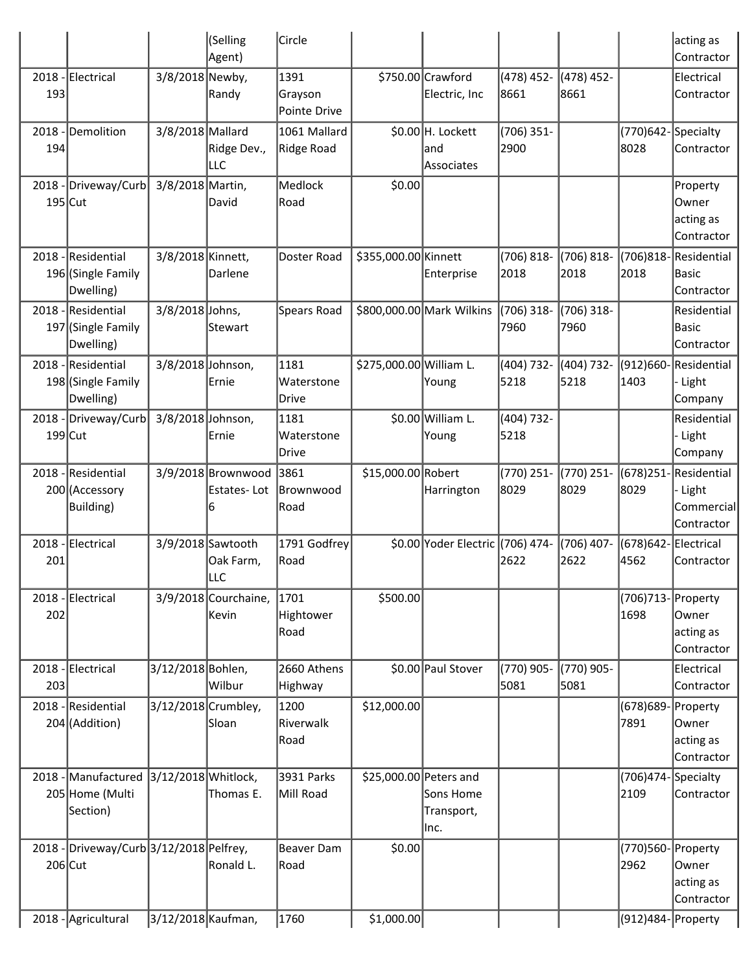|                   |                                                       |                     | (Selling<br>Agent)                     | Circle                            |                         |                                         |                      |                       |                               | acting as<br>Contractor                                   |
|-------------------|-------------------------------------------------------|---------------------|----------------------------------------|-----------------------------------|-------------------------|-----------------------------------------|----------------------|-----------------------|-------------------------------|-----------------------------------------------------------|
| 2018<br>193       | Electrical                                            | 3/8/2018 Newby,     | Randy                                  | 1391<br>Grayson<br>Pointe Drive   |                         | \$750.00 Crawford<br>Electric, Inc      | (478) 452-<br>8661   | (478) 452-<br>8661    |                               | Electrical<br>Contractor                                  |
| 2018<br>194       | Demolition                                            | 3/8/2018 Mallard    | Ridge Dev.,<br>LLC                     | 1061 Mallard<br>Ridge Road        |                         | \$0.00 H. Lockett<br> and<br>Associates | $(706)$ 351-<br>2900 |                       | (770)642-Specialty<br>8028    | Contractor                                                |
| 2018<br>$195$ Cut | Driveway/Curb                                         | 3/8/2018 Martin,    | David                                  | Medlock<br>Road                   | \$0.00                  |                                         |                      |                       |                               | Property<br>Owner<br>acting as<br>Contractor              |
| 2018              | Residential<br>196 (Single Family<br>Dwelling)        | 3/8/2018 Kinnett,   | Darlene                                | Doster Road                       | \$355,000.00 Kinnett    | Enterprise                              | (706) 818-<br>2018   | $(706) 818 -$<br>2018 | (706)818-<br>2018             | Residential<br>Basic<br>Contractor                        |
| 2018              | Residential<br>197 (Single Family<br>Dwelling)        | 3/8/2018 Johns,     | Stewart                                | Spears Road                       |                         | \$800,000.00 Mark Wilkins               | (706) 318-<br>7960   | $(706)$ 318-<br>7960  |                               | Residential<br><b>Basic</b><br>Contractor                 |
|                   | 2018 - Residential<br>198 (Single Family<br>Dwelling) | 3/8/2018 Johnson,   | Ernie                                  | 1181<br>Waterstone<br>Drive       | \$275,000.00 William L. | Young                                   | (404) 732-<br>5218   | (404) 732-<br>5218    | $(912)660 -$<br>1403          | Residential<br>Light<br>Company                           |
| 2018<br>199 Cut   | Driveway/Curb                                         | 3/8/2018 Johnson,   | Ernie                                  | 1181<br>Waterstone<br>Drive       |                         | \$0.00 William L.<br>Young              | (404) 732-<br>5218   |                       |                               | Residential<br>Light<br>Company                           |
| 2018              | Residential<br>200 (Accessory<br>Building)            |                     | 3/9/2018 Brownwood<br>Estates-Lot<br>6 | 3861<br><b>Brownwood</b><br> Road | \$15,000.00 Robert      | Harrington                              | (770) 251-<br>8029   | (770) 251-<br>8029    | 8029                          | (678)251-Residential<br>Light<br>Commercial<br>Contractor |
| 2018<br>201       | Electrical                                            |                     | 3/9/2018 Sawtooth<br>Oak Farm,<br> LLC | 1791 Godfrey<br> Road             |                         | \$0.00 Yoder Electric (706) 474-        | 2622                 | (706) 407-<br>2622    | (678)642-Electrical<br>4562   | Contractor                                                |
| 2018<br>202       | Electrical                                            |                     | $3/9/2018$ Courchaine,<br>Kevin        | 1701<br>Hightower<br>Road         | \$500.00                |                                         |                      |                       | (706)713- Property<br>1698    | Owner<br>acting as<br>Contractor                          |
| 2018<br>203       | Electrical                                            | 3/12/2018 Bohlen,   | Wilbur                                 | 2660 Athens<br>Highway            |                         | \$0.00 Paul Stover                      | (770) 905-<br>5081   | (770) 905-<br>5081    |                               | Electrical<br>Contractor                                  |
| 2018              | Residential<br>204 (Addition)                         |                     | 3/12/2018 Crumbley,<br>Sloan           | 1200<br>Riverwalk<br>Road         | \$12,000.00             |                                         |                      |                       | (678)689-Property<br>7891     | Owner<br>acting as<br>Contractor                          |
| 2018              | Manufactured<br>205 Home (Multi<br>Section)           | 3/12/2018 Whitlock, | Thomas E.                              | 3931 Parks<br>Mill Road           | \$25,000.00 Peters and  | Sons Home<br>Transport,<br>llnc.        |                      |                       | $(706)474$ -Specialty<br>2109 | Contractor                                                |
| 2018<br>$206$ Cut | Driveway/Curb 3/12/2018 Pelfrey,                      |                     | Ronald L.                              | Beaver Dam<br> Road               | \$0.00                  |                                         |                      |                       | (770)560- Property<br>2962    | Owner<br>acting as<br>Contractor                          |
| 2018              | Agricultural                                          | 3/12/2018 Kaufman,  |                                        | 1760                              | \$1,000.00              |                                         |                      |                       | (912)484- Property            |                                                           |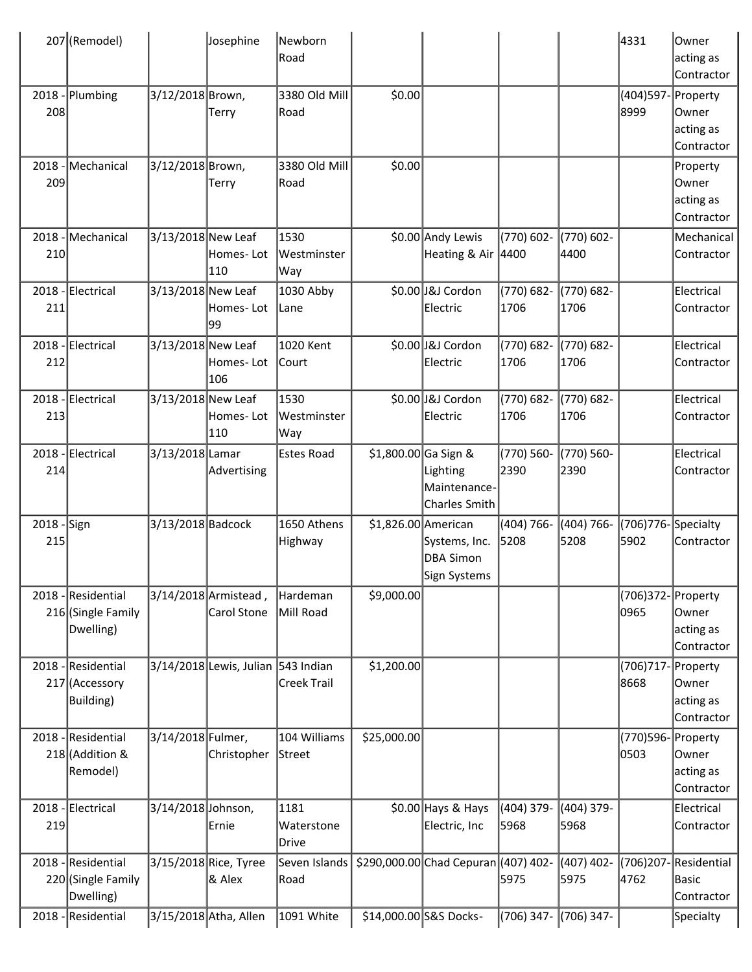|                    | 207 (Remodel)                                         |                    | Josephine                           | Newborn<br>Road             |                      |                                                   |                       |                       | 4331                          | Owner<br>acting as<br>Contractor                      |
|--------------------|-------------------------------------------------------|--------------------|-------------------------------------|-----------------------------|----------------------|---------------------------------------------------|-----------------------|-----------------------|-------------------------------|-------------------------------------------------------|
| 208                | 2018 - Plumbing                                       | 3/12/2018 Brown,   | Terry                               | 3380 Old Mill<br> Road      | \$0.00               |                                                   |                       |                       | (404)597- Property<br>8999    | Owner<br>acting as<br>Contractor                      |
| 209                | 2018 - Mechanical                                     | 3/12/2018 Brown,   | <b>Terry</b>                        | 3380 Old Mill<br>Road       | \$0.00               |                                                   |                       |                       |                               | Property<br>lOwner<br>acting as<br>Contractor         |
| 210                | 2018 - Mechanical                                     | 3/13/2018 New Leaf | Homes-Lot<br>110                    | 1530<br> Westminster<br>Way |                      | \$0.00 Andy Lewis<br>Heating & Air 4400           | (770) 602-            | (770) 602-<br>4400    |                               | Mechanical<br>Contractor                              |
| 211                | 2018 - Electrical                                     | 3/13/2018 New Leaf | Homes-Lot<br> 99                    | 1030 Abby<br>Lane           |                      | \$0.00 J&J Cordon<br>Electric                     | (770) 682-<br>1706    | (770) 682-<br>1706    |                               | Electrical<br>Contractor                              |
| 212                | 2018 - Electrical                                     | 3/13/2018 New Leaf | Homes-Lot<br>106                    | 1020 Kent<br>Court          |                      | \$0.00 J&J Cordon<br>Electric                     | (770) 682-<br>1706    | (770) 682-<br>1706    |                               | Electrical<br>Contractor                              |
| 213                | 2018 - Electrical                                     | 3/13/2018 New Leaf | Homes-Lot<br>110                    | 1530<br>Westminster<br>Way  |                      | \$0.00 J&J Cordon<br>Electric                     | (770) 682-<br>1706    | (770) 682-<br>1706    |                               | Electrical<br>Contractor                              |
| 214                | 2018 - Electrical                                     | 3/13/2018 Lamar    | Advertising                         | <b>Estes Road</b>           | \$1,800.00 Ga Sign & | Lighting<br>Maintenance-<br>Charles Smith         | (770) 560-<br>2390    | (770) 560-<br>2390    |                               | Electrical<br>Contractor                              |
| 2018 - Sign<br>215 |                                                       | 3/13/2018 Badcock  |                                     | 1650 Athens<br>Highway      | \$1,826.00 American  | Systems, Inc.<br><b>DBA Simon</b><br>Sign Systems | $(404) 766 -$<br>5208 | $(404) 766 -$<br>5208 | (706) 776 - Specialty<br>5902 | Contractor                                            |
|                    | 2018 - Residential<br>216 (Single Family<br>Dwelling) |                    | 3/14/2018 Armistead,<br>Carol Stone | Hardeman<br>Mill Road       | \$9,000.00           |                                                   |                       |                       | (706)372- Property<br>0965    | Owner<br>acting as<br>Contractor                      |
|                    | 2018 - Residential<br>217 (Accessory<br>Building)     |                    | 3/14/2018 Lewis, Julian 543 Indian  | Creek Trail                 | \$1,200.00           |                                                   |                       |                       | (706)717<br>8668              | - Property<br><b>Owner</b><br>acting as<br>Contractor |
|                    | 2018 - Residential<br>218 (Addition &<br>Remodel)     | 3/14/2018 Fulmer,  | Christopher                         | 104 Williams<br>Street      | \$25,000.00          |                                                   |                       |                       | (770)596- Property<br>0503    | Owner<br>acting as<br>Contractor                      |
| 219                | 2018 - Electrical                                     | 3/14/2018 Johnson, | Ernie                               | 1181<br>Waterstone<br>Drive |                      | $$0.00$ Hays & Hays<br>Electric, Inc              | (404) 379-<br>5968    | (404) 379-<br>5968    |                               | Electrical<br>Contractor                              |
|                    | 2018 - Residential<br>220 (Single Family<br>Dwelling) |                    | 3/15/2018 Rice, Tyree<br>& Alex     | Seven Islands<br>Road       |                      | \$290,000.00 Chad Cepuran (407) 402-              | 5975                  | $(407)$ 402-<br>5975  | 4762                          | (706)207-Residential<br>Basic<br>Contractor           |
|                    | 2018 - Residential                                    |                    | 3/15/2018 Atha, Allen               | 1091 White                  |                      | \$14,000.00 S&S Docks-                            | (706) 347- (706) 347- |                       |                               | Specialty                                             |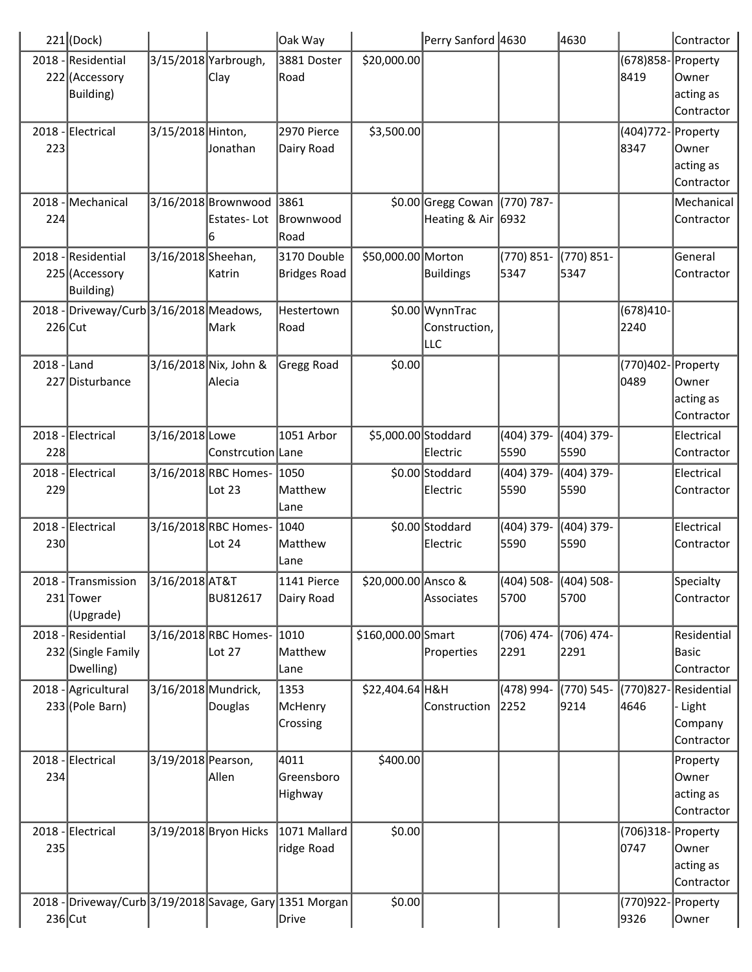|               | $221$ (Dock)                                            |                     |                       | Oak Way      |                     | Perry Sanford 4630            |                        | 4630         |                    | Contractor   |
|---------------|---------------------------------------------------------|---------------------|-----------------------|--------------|---------------------|-------------------------------|------------------------|--------------|--------------------|--------------|
|               | 2018 - Residential                                      |                     | 3/15/2018 Yarbrough,  | 3881 Doster  | \$20,000.00         |                               |                        |              | (678)858-Property  |              |
|               | 222 (Accessory                                          |                     | Clay                  | Road         |                     |                               |                        |              | 8419               | Owner        |
|               | Building)                                               |                     |                       |              |                     |                               |                        |              |                    | acting as    |
|               |                                                         |                     |                       |              |                     |                               |                        |              |                    | Contractor   |
|               | 2018 - Electrical                                       | 3/15/2018 Hinton,   |                       | 2970 Pierce  | \$3,500.00          |                               |                        |              | (404)772           | - Property   |
| 223           |                                                         |                     | Jonathan              | Dairy Road   |                     |                               |                        |              | 8347               | lOwner       |
|               |                                                         |                     |                       |              |                     |                               |                        |              |                    | acting as    |
|               |                                                         |                     |                       |              |                     |                               |                        |              |                    | Contractor   |
| 2018          | Mechanical                                              |                     | 3/16/2018 Brownwood   | 3861         |                     | \$0.00 Gregg Cowan (770) 787- |                        |              |                    | Mechanical   |
| 224           |                                                         |                     | Estates-Lot           | Brownwood    |                     | Heating & Air 6932            |                        |              |                    | Contractor   |
|               |                                                         |                     | 6                     | Road         |                     |                               |                        |              |                    |              |
| 2018          | -Residential                                            | 3/16/2018 Sheehan,  |                       | 3170 Double  | \$50,000.00 Morton  |                               | (770) 851-             | (770) 851-   |                    | General      |
|               | 225 (Accessory                                          |                     | Katrin                | Bridges Road |                     | Buildings                     | 5347                   | 5347         |                    | Contractor   |
|               | <b>Building</b> )                                       |                     |                       |              |                     |                               |                        |              |                    |              |
|               |                                                         |                     |                       |              |                     |                               |                        |              |                    |              |
|               | 2018 - Driveway/Curb 3/16/2018 Meadows,                 |                     |                       | Hestertown   |                     | \$0.00 WynnTrac               |                        |              | $(678)410-$        |              |
| $226$ Cut     |                                                         |                     | Mark                  | Road         |                     | Construction,                 |                        |              | 2240               |              |
|               |                                                         |                     |                       |              |                     | ∣⊔∟c                          |                        |              |                    |              |
| $2018$ - Land |                                                         |                     | 3/16/2018 Nix, John & | Gregg Road   | \$0.00              |                               |                        |              | (770)402- Property |              |
|               | 227 Disturbance                                         |                     | lAlecia               |              |                     |                               |                        |              | 0489               | <b>Owner</b> |
|               |                                                         |                     |                       |              |                     |                               |                        |              |                    | acting as    |
|               |                                                         |                     |                       |              |                     |                               |                        |              |                    | Contractor   |
|               | 2018 - Electrical                                       | 3/16/2018 Lowe      |                       | 1051 Arbor   | \$5,000.00 Stoddard |                               | (404) 379-             | (404) 379-   |                    | Electrical   |
| 228           |                                                         |                     | Constrcution Lane     |              |                     | Electric                      | 5590                   | 5590         |                    | Contractor   |
|               | 2018 - Electrical                                       |                     | 3/16/2018 RBC Homes-  | 1050         |                     | \$0.00 Stoddard               | (404) 379-             | (404) 379-   |                    | Electrical   |
| 229           |                                                         |                     | Lot 23                | Matthew      |                     | Electric                      | 5590                   | 5590         |                    | Contractor   |
|               |                                                         |                     |                       | Lane         |                     |                               |                        |              |                    |              |
|               | 2018 - Electrical                                       |                     | 3/16/2018 RBC Homes-  | 1040         |                     | \$0.00 Stoddard               | (404) 379-             | (404) 379-   |                    | Electrical   |
| 230           |                                                         |                     | Lot 24                | Matthew      |                     | Electric                      | 5590                   | 5590         |                    | Contractor   |
|               |                                                         |                     |                       | Lane         |                     |                               |                        |              |                    |              |
|               | 2018 - Transmission                                     | 3/16/2018 AT&T      |                       | 1141 Pierce  | \$20,000.00 Ansco & |                               | (404) 508-  (404) 508- |              |                    | Specialty    |
|               | 231 Tower                                               |                     | <b>BU812617</b>       | Dairy Road   |                     | Associates                    | 5700                   | 5700         |                    | Contractor   |
|               | (Upgrade)                                               |                     |                       |              |                     |                               |                        |              |                    |              |
|               | 2018 - Residential                                      |                     | 3/16/2018 RBC Homes-  | 1010         | \$160,000.00 Smart  |                               | (706) 474-             | $(706)$ 474- |                    | Residential  |
|               | 232 (Single Family                                      |                     | Lot 27                | Matthew      |                     | Properties                    | 2291                   | 2291         |                    | Basic        |
|               | Dwelling)                                               |                     |                       | Lane         |                     |                               |                        |              |                    | Contractor   |
|               | 2018 - Agricultural                                     | 3/16/2018 Mundrick, |                       | 1353         | \$22,404.64 H&H     |                               | (478) 994-             | (770) 545-   | (770)827           | Residential  |
|               | 233 (Pole Barn)                                         |                     | Douglas               | McHenry      |                     | Construction                  | 2252                   | 9214         | 4646               | - Light      |
|               |                                                         |                     |                       | Crossing     |                     |                               |                        |              |                    | Company      |
|               |                                                         |                     |                       |              |                     |                               |                        |              |                    | Contractor   |
|               | 2018 - Electrical                                       | 3/19/2018 Pearson,  |                       | 4011         | \$400.00            |                               |                        |              |                    | Property     |
| 234           |                                                         |                     | Allen                 | Greensboro   |                     |                               |                        |              |                    | Owner        |
|               |                                                         |                     |                       | Highway      |                     |                               |                        |              |                    | acting as    |
|               |                                                         |                     |                       |              |                     |                               |                        |              |                    | Contractor   |
|               | 2018 - Electrical                                       |                     | 3/19/2018 Bryon Hicks | 1071 Mallard | \$0.00              |                               |                        |              | (706)318-Property  |              |
| 235           |                                                         |                     |                       | ridge Road   |                     |                               |                        |              | 0747               | Owner        |
|               |                                                         |                     |                       |              |                     |                               |                        |              |                    | acting as    |
|               |                                                         |                     |                       |              |                     |                               |                        |              |                    | Contractor   |
|               | 2018 - Driveway/Curb 3/19/2018 Savage, Gary 1351 Morgan |                     |                       |              | \$0.00              |                               |                        |              | (770)922- Property |              |
| $236$ Cut     |                                                         |                     |                       | Drive        |                     |                               |                        |              | 9326               | Owner        |
|               |                                                         |                     |                       |              |                     |                               |                        |              |                    |              |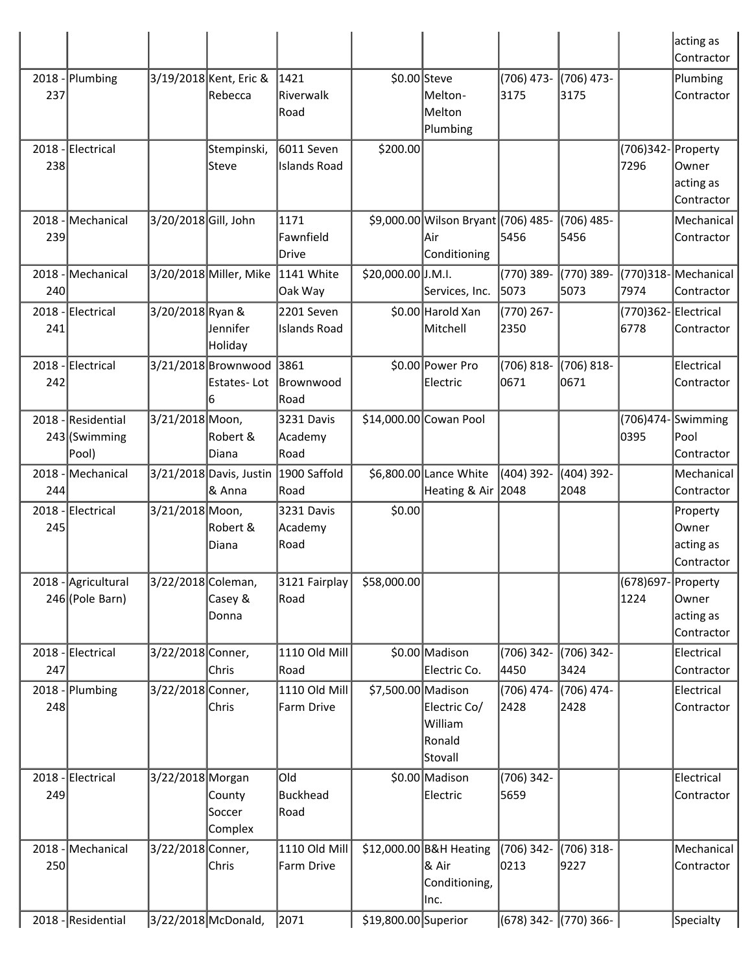|             |                                       |                      |                                         |                                   |                      |                                                             |                       |                       |                              | acting as                                    |
|-------------|---------------------------------------|----------------------|-----------------------------------------|-----------------------------------|----------------------|-------------------------------------------------------------|-----------------------|-----------------------|------------------------------|----------------------------------------------|
|             |                                       |                      |                                         |                                   |                      |                                                             |                       |                       |                              | Contractor                                   |
| 2018<br>237 | Plumbing                              |                      | 3/19/2018 Kent, Eric &<br>Rebecca       | 1421<br>Riverwalk<br>Road         |                      | \$0.00 Steve<br>Melton-<br>Melton<br>Plumbing               | (706) 473-<br>3175    | $(706)$ 473-<br>3175  |                              | Plumbing<br>Contractor                       |
| 238         | 2018 - Electrical                     |                      | Stempinski,<br><b>Steve</b>             | 6011 Seven<br><b>Islands Road</b> | \$200.00             |                                                             |                       |                       | (706)342- Property<br>7296   | Owner<br>acting as<br>Contractor             |
| 2018<br>239 | Mechanical                            | 3/20/2018 Gill, John |                                         | 1171<br>Fawnfield<br>Drive        |                      | \$9,000.00 Wilson Bryant (706) 485-<br>lAir<br>Conditioning | 5456                  | (706) 485-<br>5456    |                              | Mechanical<br>Contractor                     |
| 2018<br>240 | Mechanical                            |                      | 3/20/2018 Miller, Mike                  | 1141 White<br>Oak Way             | \$20,000.00 J.M.I.   | Services, Inc.                                              | (770) 389-<br>5073    | (770) 389-<br>5073    | 7974                         | (770)318-Mechanical<br>Contractor            |
| 241         | 2018 - Electrical                     | 3/20/2018 Ryan &     | Jennifer<br>Holiday                     | 2201 Seven<br>Islands Road        |                      | \$0.00 Harold Xan<br>Mitchell                               | (770) 267-<br>2350    |                       | (770)362- Electrical<br>6778 | Contractor                                   |
| 2018<br>242 | - Electrical                          |                      | 3/21/2018 Brownwood<br>Estates-Lot<br>6 | 3861<br><b>Brownwood</b><br>Road  |                      | \$0.00 Power Pro<br>Electric                                | $(706) 818 -$<br>0671 | $(706) 818 -$<br>0671 |                              | Electrical<br>Contractor                     |
| 2018        | Residential<br>243 (Swimming<br>Pool) | 3/21/2018 Moon,      | Robert &<br>Diana                       | 3231 Davis<br>Academy<br>Road     |                      | \$14,000.00 Cowan Pool                                      |                       |                       | (706)474- $\vert$<br>0395    | Swimming<br>Pool<br>Contractor               |
| 2018<br>244 | Mechanical                            |                      | 3/21/2018 Davis, Justin<br>& Anna       | 1900 Saffold<br>Road              |                      | \$6,800.00 Lance White<br>Heating & Air 2048                | (404) 392-            | $(404)$ 392-<br>2048  |                              | Mechanical<br>Contractor                     |
| 2018<br>245 | -Electrical                           | 3/21/2018 Moon,      | Robert &<br>Diana                       | 3231 Davis<br>Academy<br>Road     | \$0.00               |                                                             |                       |                       |                              | Property<br>Owner<br>acting as<br>Contractor |
| $2018 -$    | Agricultural<br>246 (Pole Barn)       | 3/22/2018 Coleman,   | Casey &<br>Donna                        | 3121 Fairplay<br> Road            | \$58,000.00          |                                                             |                       |                       | (678)697-Property<br>1224    | Owner<br>acting as<br>Contractor             |
| 247         | 2018 - Electrical                     | 3/22/2018 Conner,    | Chris                                   | 1110 Old Mill<br>Road             |                      | \$0.00 Madison<br>Electric Co.                              | (706) 342-<br>4450    | (706) 342-<br>3424    |                              | Electrical<br>Contractor                     |
| 248         | 2018 - Plumbing                       | 3/22/2018 Conner,    | Chris                                   | 1110 Old Mill<br>Farm Drive       | \$7,500.00 Madison   | Electric Co/<br>William<br>Ronald<br>Stovall                | (706) 474-<br>2428    | (706) 474-<br>2428    |                              | Electrical<br>Contractor                     |
| 249         | 2018 - Electrical                     | 3/22/2018 Morgan     | County<br>Soccer<br>Complex             | lOld<br>Buckhead<br>Road          |                      | \$0.00 Madison<br>Electric                                  | (706) 342-<br>5659    |                       |                              | Electrical<br>Contractor                     |
| 250         | 2018 - Mechanical                     | 3/22/2018 Conner,    | Chris                                   | 1110 Old Mill<br>Farm Drive       |                      | \$12,000.00 B&H Heating<br>∣& Air<br>Conditioning,<br>llnc. | $(706)$ 342-<br>0213  | (706) 318-<br>9227    |                              | Mechanical<br>Contractor                     |
|             | 2018 - Residential                    |                      | 3/22/2018 McDonald,                     | 2071                              | \$19,800.00 Superior |                                                             | (678) 342- (770) 366- |                       |                              | Specialty                                    |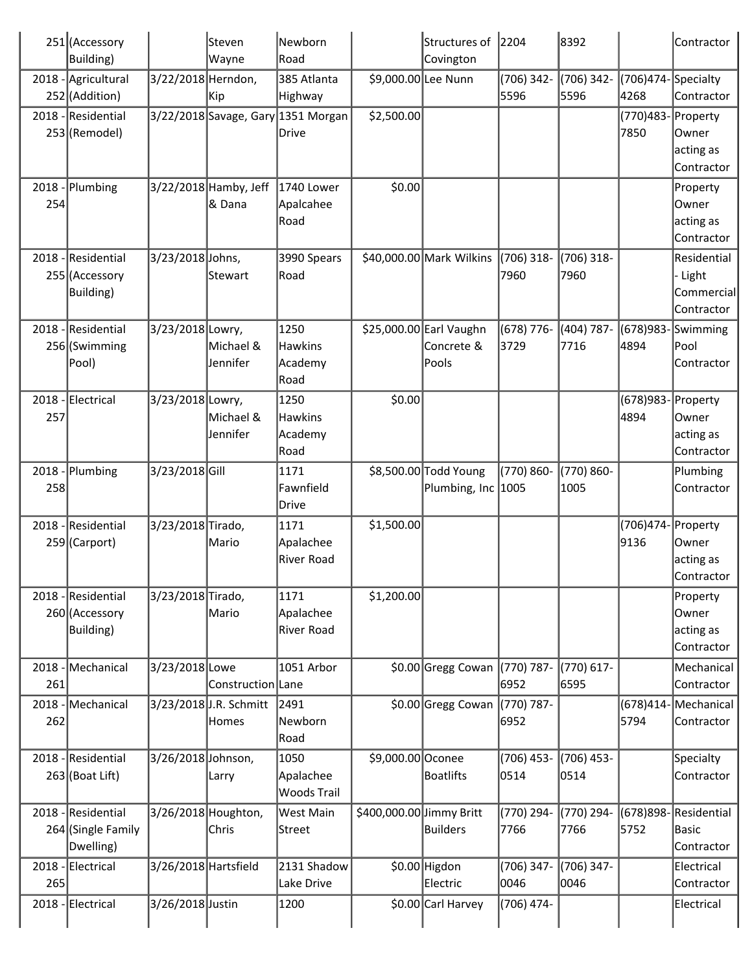| Building)<br>2018 - Agricultural<br>252 (Addition)<br>2018 - Residential<br>253 (Remodel) | 3/22/2018 Herndon, | Wayne                           | Road<br>385 Atlanta                                                                                                                                                                                                                                                                             | \$9,000.00 Lee Nunn                                                                                                                                                                                                           | Covington           |                                                                                                                                                                                                                                             |                                                |                            |                                                        |
|-------------------------------------------------------------------------------------------|--------------------|---------------------------------|-------------------------------------------------------------------------------------------------------------------------------------------------------------------------------------------------------------------------------------------------------------------------------------------------|-------------------------------------------------------------------------------------------------------------------------------------------------------------------------------------------------------------------------------|---------------------|---------------------------------------------------------------------------------------------------------------------------------------------------------------------------------------------------------------------------------------------|------------------------------------------------|----------------------------|--------------------------------------------------------|
|                                                                                           |                    |                                 |                                                                                                                                                                                                                                                                                                 |                                                                                                                                                                                                                               |                     |                                                                                                                                                                                                                                             |                                                |                            |                                                        |
|                                                                                           |                    | Kip                             | Highway                                                                                                                                                                                                                                                                                         |                                                                                                                                                                                                                               |                     | (706) 342-<br>5596                                                                                                                                                                                                                          | (706) 342-<br>5596                             | (706)474-Specialty<br>4268 | Contractor                                             |
|                                                                                           |                    |                                 | 3/22/2018 Savage, Gary 1351 Morgan<br>Drive                                                                                                                                                                                                                                                     | \$2,500.00                                                                                                                                                                                                                    |                     |                                                                                                                                                                                                                                             |                                                | (770) 483-<br>7850         | Property<br>Owner<br>acting as<br>Contractor           |
| $2018$ - Plumbing                                                                         |                    | 3/22/2018 Hamby, Jeff<br>& Dana | 1740 Lower<br>Apalcahee                                                                                                                                                                                                                                                                         | \$0.00                                                                                                                                                                                                                        |                     |                                                                                                                                                                                                                                             |                                                |                            | Property<br>Owner<br>acting as<br>Contractor           |
| 2018 - Residential<br>255 (Accessory<br><b>Building</b> )                                 |                    |                                 | 3990 Spears                                                                                                                                                                                                                                                                                     |                                                                                                                                                                                                                               |                     | (706) 318-<br>7960                                                                                                                                                                                                                          | $(706)$ 318-<br>7960                           |                            | Residential<br>- Light<br>Commercial<br>Contractor     |
| 2018 - Residential<br>256 (Swimming<br>Pool)                                              |                    | Michael &<br>Jennifer           | 1250                                                                                                                                                                                                                                                                                            |                                                                                                                                                                                                                               | Concrete &<br>Pools | (678) 776-<br>3729                                                                                                                                                                                                                          | (404) 787-<br>7716                             | 4894                       | (678) 983 - Swimming<br>Pool<br>Contractor             |
| 2018 - Electrical                                                                         |                    | Michael &<br>Jennifer           | 1250                                                                                                                                                                                                                                                                                            | \$0.00                                                                                                                                                                                                                        |                     |                                                                                                                                                                                                                                             |                                                | 4894                       | Owner<br>acting as<br>Contractor                       |
| $2018$ - Plumbing                                                                         |                    |                                 | 1171                                                                                                                                                                                                                                                                                            |                                                                                                                                                                                                                               |                     | (770) 860-                                                                                                                                                                                                                                  | (770) 860-<br>1005                             |                            | Plumbing<br>Contractor                                 |
| 2018 - Residential<br>259 (Carport)                                                       |                    | Mario                           | 1171                                                                                                                                                                                                                                                                                            | \$1,500.00                                                                                                                                                                                                                    |                     |                                                                                                                                                                                                                                             |                                                | 9136                       | Owner<br>acting as<br>Contractor                       |
| 2018 - Residential<br>260 (Accessory<br>Building)                                         |                    |                                 | 1171<br>Apalachee                                                                                                                                                                                                                                                                               |                                                                                                                                                                                                                               |                     |                                                                                                                                                                                                                                             |                                                |                            | Property<br>Owner<br>acting as<br>Contractor           |
| 2018 - Mechanical                                                                         |                    |                                 | 1051 Arbor                                                                                                                                                                                                                                                                                      |                                                                                                                                                                                                                               |                     | 6952                                                                                                                                                                                                                                        | (770) 617-<br>6595                             |                            | Mechanical<br>Contractor                               |
| 2018 - Mechanical                                                                         |                    |                                 | Newborn                                                                                                                                                                                                                                                                                         |                                                                                                                                                                                                                               |                     | (770) 787-<br>6952                                                                                                                                                                                                                          |                                                | $(678)414-$<br>5794        | Mechanical<br>Contractor                               |
| 2018 - Residential<br>$263$ (Boat Lift)                                                   |                    |                                 | 1050<br>Woods Trail                                                                                                                                                                                                                                                                             |                                                                                                                                                                                                                               |                     | (706) 453-<br>0514                                                                                                                                                                                                                          | (706) 453-<br>0514                             |                            | Specialty<br>Contractor                                |
| 2018 - Residential<br>264 (Single Family<br>Dwelling)                                     |                    | Chris                           | Street                                                                                                                                                                                                                                                                                          |                                                                                                                                                                                                                               | <b>Builders</b>     | (770) 294-<br>7766                                                                                                                                                                                                                          | (770) 294-<br>7766                             | 5752                       | (678)898-Residential<br>Basic<br>Contractor            |
| 2018 - Electrical                                                                         |                    |                                 | 2131 Shadow                                                                                                                                                                                                                                                                                     |                                                                                                                                                                                                                               | Electric            | (706) 347-<br>0046                                                                                                                                                                                                                          | (706) 347-<br>0046                             |                            | Electrical<br>Contractor                               |
|                                                                                           | 2018 - Electrical  |                                 | 3/23/2018 Johns,<br>Stewart<br>3/23/2018 Lowry,<br>3/23/2018 Lowry,<br>3/23/2018 Gill<br>3/23/2018 Tirado,<br>3/23/2018 Tirado,<br>Mario<br>3/23/2018 Lowe<br>3/23/2018 J.R. Schmitt<br>Homes<br>3/26/2018 Johnson,<br>Larry<br>3/26/2018 Houghton,<br>3/26/2018 Hartsfield<br>3/26/2018 Justin | Road<br>Road<br>Hawkins<br>Academy<br>Road<br>Hawkins<br>Academy<br>Road<br>Fawnfield<br> Drive<br>Apalachee<br>River Road<br>River Road<br>Construction Lane<br>2491<br>Road<br>Apalachee<br>West Main<br>Lake Drive<br>1200 |                     | \$40,000.00 Mark Wilkins<br>\$25,000.00 Earl Vaughn<br>\$8,500.00 Todd Young<br>\$1,200.00<br>\$0.00 Gregg Cowan<br>\$0.00 Gregg Cowan<br>\$9,000.00 Oconee<br>Boatlifts<br>\$400,000.00 Jimmy Britt<br>\$0.00 Higdon<br>\$0.00 Carl Harvey | Plumbing, Inc 1005<br>(770) 787-<br>(706) 474- |                            | (678)983- Property<br>(706)474- Property<br>Electrical |